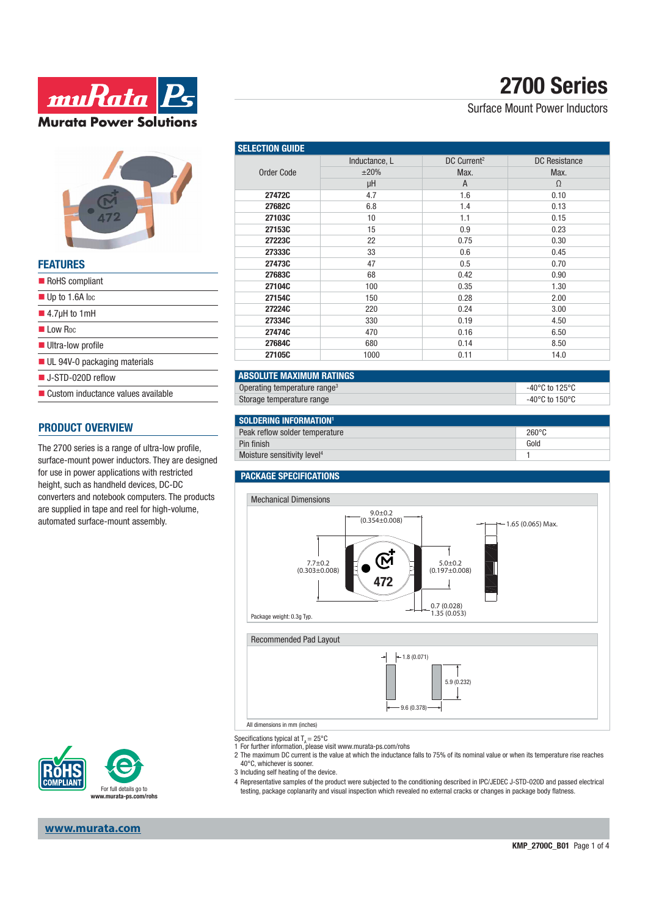



| FEAIUKES                                    |
|---------------------------------------------|
| RoHS compliant                              |
| $\blacksquare$ Up to 1.6A lpc               |
| $\blacksquare$ 4.7µH to 1mH                 |
| I I ow R <sub>DC</sub>                      |
| Ultra-low profile                           |
| $\blacksquare$ UL 94V-0 packaging materials |
| $\blacksquare$ J-STD-020D reflow            |
| ■ Custom inductance values available        |

### **PRODUCT OVERVIEW**

**FEATURES**

The 2700 series is a range of ultra-low profile, surface-mount power inductors. They are designed for use in power applications with restricted height, such as handheld devices, DC-DC converters and notebook computers. The products are supplied in tape and reel for high-volume, automated surface-mount assembly.



# **2700 Series**

### Surface Mount Power Inductors

| <b>SELECTION GUIDE</b> |               |                         |                      |  |
|------------------------|---------------|-------------------------|----------------------|--|
|                        | Inductance, L | DC Current <sup>2</sup> | <b>DC</b> Resistance |  |
| <b>Order Code</b>      | $\pm 20\%$    | Max.                    | Max.                 |  |
|                        | μH            | A                       | $\Omega$             |  |
| 27472C                 | 4.7           | 1.6                     | 0.10                 |  |
| 27682C                 | 6.8           | 1.4                     | 0.13                 |  |
| 27103C                 | 10            | 1.1                     | 0.15                 |  |
| 27153C                 | 15            | 0.9                     | 0.23                 |  |
| 27223C                 | 22            | 0.75                    | 0.30                 |  |
| 27333C                 | 33            | 0.6                     | 0.45                 |  |
| 27473C                 | 47            | 0.5                     | 0.70                 |  |
| 27683C                 | 68            | 0.42                    | 0.90                 |  |
| 27104C                 | 100           | 0.35                    | 1.30                 |  |
| 27154C                 | 150           | 0.28                    | 2.00                 |  |
| 27224C                 | 220           | 0.24                    | 3.00                 |  |
| 27334C                 | 330           | 0.19                    | 4.50                 |  |
| 27474C                 | 470           | 0.16                    | 6.50                 |  |
| 27684C                 | 680           | 0.14                    | 8.50                 |  |
| 27105C                 | 1000          | 0.11                    | 14.0                 |  |

| <b>LABSOLUTE MAXIMUM RATINGS</b>         |                |
|------------------------------------------|----------------|
| Operating temperature range <sup>3</sup> | -40°C to 125°C |
| Storage temperature range                | -40°C to 150°C |

| SOLDERING INFORMATION <sup>1</sup>      |       |
|-----------------------------------------|-------|
| Peak reflow solder temperature          | 260°C |
| Pin finish                              | Gold  |
| Moisture sensitivity level <sup>4</sup> |       |

#### **PACKAGE SPECIFICATIONS**





Specifications typical at  $T_A = 25^{\circ}$ C

1 For further information, please visit www.murata-ps.com/rohs

2 The maximum DC current is the value at which the inductance falls to 75% of its nominal value or when its temperature rise reaches 40°C, whichever is sooner.

- 3 Including self heating of the device.
- 4 Representative samples of the product were subjected to the conditioning described in IPC/JEDEC J-STD-020D and passed electrical testing, package coplanarity and visual inspection which revealed no external cracks or changes in package body flatness.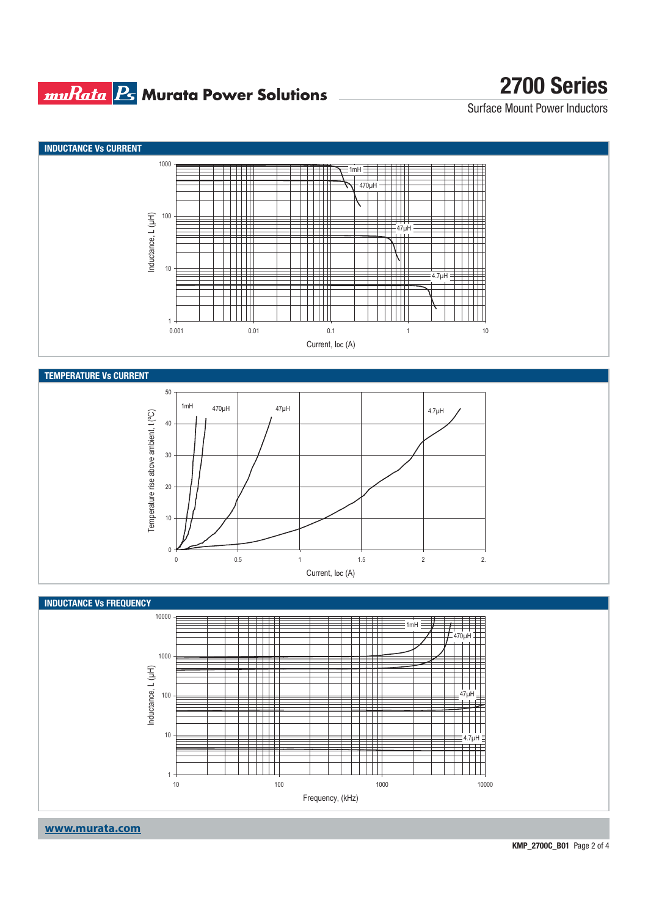## **muRata B** Murata Power Solutions

## **2700 Series**

Surface Mount Power Inductors



**www.murata.com**

**KMP\_2700C\_B01** Page 2 of 4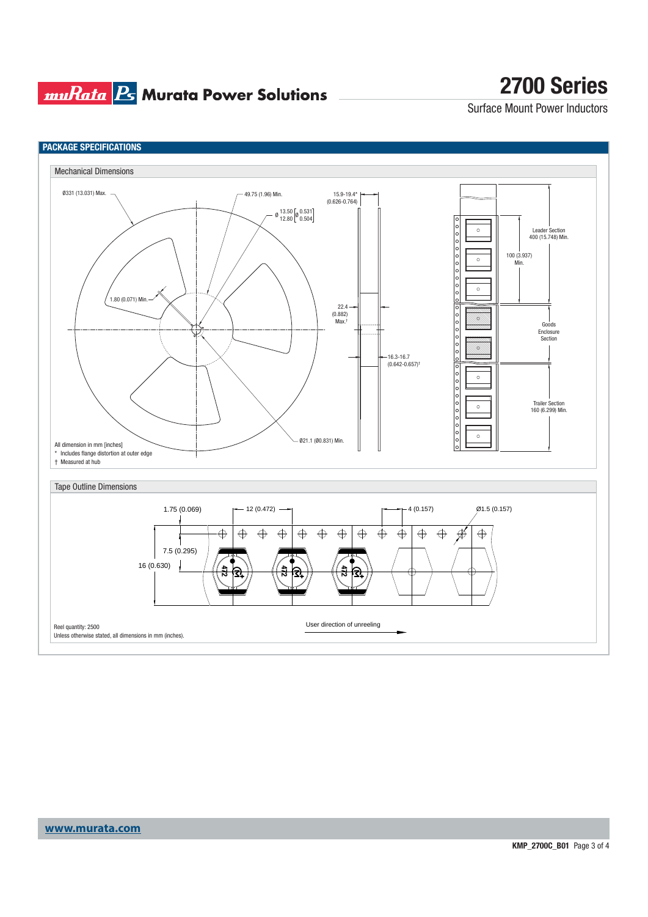### **muRata Ps** Murata Power Solutions

## **2700 Series**

Surface Mount Power Inductors